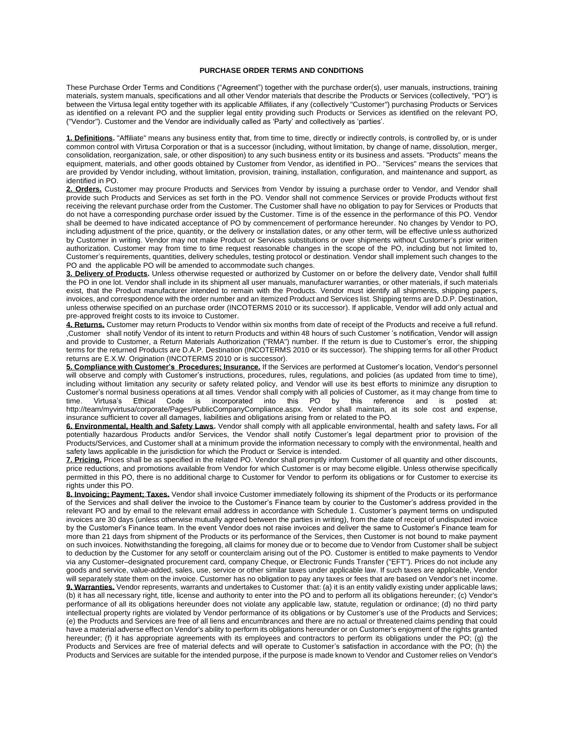## **PURCHASE ORDER TERMS AND CONDITIONS**

These Purchase Order Terms and Conditions ("Agreement") together with the purchase order(s), user manuals, instructions, training materials, system manuals, specifications and all other Vendor materials that describe the Products or Services (collectively, "PO") is between the Virtusa legal entity together with its applicable Affiliates, if any (collectively "Customer") purchasing Products or Services as identified on a relevant PO and the supplier legal entity providing such Products or Services as identified on the relevant PO, ("Vendor"). Customer and the Vendor are individually called as 'Party' and collectively as 'parties'.

**1. Definitions.** "Affiliate" means any business entity that, from time to time, directly or indirectly controls, is controlled by, or is under common control with Virtusa Corporation or that is a successor (including, without limitation, by change of name, dissolution, merger, consolidation, reorganization, sale, or other disposition) to any such business entity or its business and assets. "Products" means the equipment, materials, and other goods obtained by Customer from Vendor, as identified in PO.. "Services" means the services that are provided by Vendor including, without limitation, provision, training, installation, configuration, and maintenance and support, as identified in PO.

**2. Orders.** Customer may procure Products and Services from Vendor by issuing a purchase order to Vendor, and Vendor shall provide such Products and Services as set forth in the PO. Vendor shall not commence Services or provide Products without first receiving the relevant purchase order from the Customer. The Customer shall have no obligation to pay for Services or Products that do not have a corresponding purchase order issued by the Customer. Time is of the essence in the performance of this PO. Vendor shall be deemed to have indicated acceptance of PO by commencement of performance hereunder. No changes by Vendor to PO, including adjustment of the price, quantity, or the delivery or installation dates, or any other term, will be effective unless authorized by Customer in writing. Vendor may not make Product or Services substitutions or over shipments without Customer's prior written authorization. Customer may from time to time request reasonable changes in the scope of the PO, including but not limited to, Customer's requirements, quantities, delivery schedules, testing protocol or destination. Vendor shall implement such changes to the PO and the applicable PO will be amended to accommodate such changes.

**3. Delivery of Products.** Unless otherwise requested or authorized by Customer on or before the delivery date, Vendor shall fulfill the PO in one lot. Vendor shall include in its shipment all user manuals, manufacturer warranties, or other materials, if such materials exist, that the Product manufacturer intended to remain with the Products. Vendor must identify all shipments, shipping papers, invoices, and correspondence with the order number and an itemized Product and Services list. Shipping terms are D.D.P. Destination, unless otherwise specified on an purchase order (INCOTERMS 2010 or its successor). If applicable, Vendor will add only actual and pre-approved freight costs to its invoice to Customer.

**4. Returns.** Customer may return Products to Vendor within six months from date of receipt of the Products and receive a full refund. ,Customer shall notify Vendor of its intent to return Products and within 48 hours of such Customer 's notification, Vendor will assign and provide to Customer, a Return Materials Authorization ("RMA") number. If the return is due to Customer's error, the shipping terms for the returned Products are D.A.P. Destination (INCOTERMS 2010 or its successor). The shipping terms for all other Product returns are E.X.W. Origination (INCOTERMS 2010 or is successor).

**5. Compliance with Customer's Procedures; Insurance.** If the Services are performed at Customer's location, Vendor's personnel will observe and comply with Customer's instructions, procedures, rules, regulations, and policies (as updated from time to time), including without limitation any security or safety related policy, and Vendor will use its best efforts to minimize any disruption to Customer's normal business operations at all times. Vendor shall comply with all policies of Customer, as it may change from time to time. Virtusa's Ethical Code is incorporated into this PO by this reference and is posted at: [http://team/myvirtusa/corporate/Pages/PublicCompanyCompliance.aspx.](http://team/myvirtusa/corporate/Pages/PublicCompanyCompliance.aspx) Vendor shall maintain, at its sole cost and expense, insurance sufficient to cover all damages, liabilities and obligations arising from or related to the PO.

**6. Environmental, Health and Safety Laws.** Vendor shall comply with all applicable environmental, health and safety laws**.** For all potentially hazardous Products and/or Services, the Vendor shall notify Customer's legal department prior to provision of the Products/Services, and Customer shall at a minimum provide the information necessary to comply with the environmental, health and safety laws applicable in the jurisdiction for which the Product or Service is intended.

**7. Pricing.** Prices shall be as specified in the related PO. Vendor shall promptly inform Customer of all quantity and other discounts, price reductions, and promotions available from Vendor for which Customer is or may become eligible. Unless otherwise specifically permitted in this PO, there is no additional charge to Customer for Vendor to perform its obligations or for Customer to exercise its rights under this PO.

**8. Invoicing; Payment; Taxes.** Vendor shall invoice Customer immediately following its shipment of the Products or its performance of the Services and shall deliver the invoice to the Customer's Finance team by courier to the Customer's address provided in the relevant PO and by email to the relevant email address in accordance with Schedule 1. Customer's payment terms on undisputed invoices are 30 days (unless otherwise mutually agreed between the parties in writing), from the date of receipt of undisputed invoice by the Customer's Finance team. In the event Vendor does not raise invoices and deliver the same to Customer's Finance team for more than 21 days from shipment of the Products or its performance of the Services, then Customer is not bound to make payment on such invoices. Notwithstanding the foregoing, all claims for money due or to become due to Vendor from Customer shall be subject to deduction by the Customer for any setoff or counterclaim arising out of the PO. Customer is entitled to make payments to Vendor via any Customer–designated procurement card, company Cheque, or Electronic Funds Transfer ("EFT"). Prices do not include any goods and service, value-added, sales, use, service or other similar taxes under applicable law. If such taxes are applicable, Vendor will separately state them on the invoice. Customer has no obligation to pay any taxes or fees that are based on Vendor's net income. **9. Warranties.** Vendor represents, warrants and undertakes to Customer that: (a) it is an entity validly existing under applicable laws; (b) it has all necessary right, title, license and authority to enter into the PO and to perform all its obligations hereunder; (c) Vendor's performance of all its obligations hereunder does not violate any applicable law, statute, regulation or ordinance; (d) no third party intellectual property rights are violated by Vendor performance of its obligations or by Customer's use of the Products and Services; (e) the Products and Services are free of all liens and encumbrances and there are no actual or threatened claims pending that could have a material adverse effect on Vendor's ability to perform its obligations hereunder or on Customer's enjoyment of the rights granted hereunder; (f) it has appropriate agreements with its employees and contractors to perform its obligations under the PO; (g) the Products and Services are free of material defects and will operate to Customer's satisfaction in accordance with the PO; (h) the Products and Services are suitable for the intended purpose, if the purpose is made known to Vendor and Customer relies on Vendor's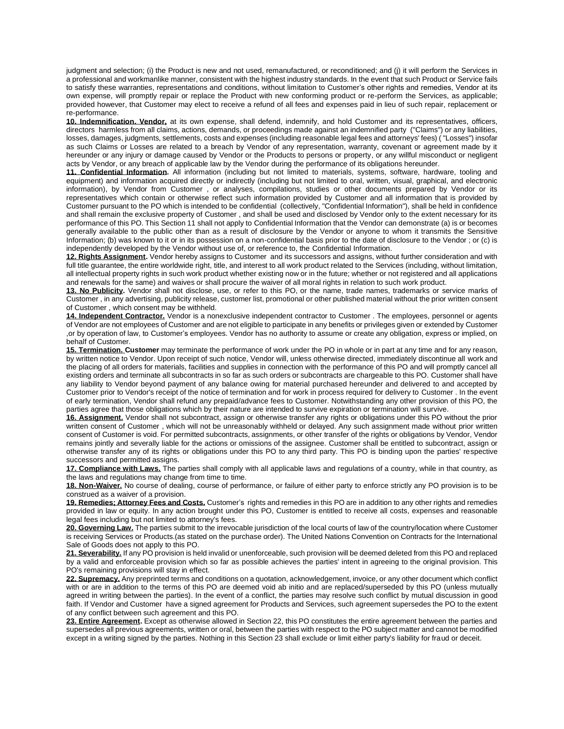judgment and selection; (i) the Product is new and not used, remanufactured, or reconditioned; and (i) it will perform the Services in a professional and workmanlike manner, consistent with the highest industry standards. In the event that such Product or Service fails to satisfy these warranties, representations and conditions, without limitation to Customer's other rights and remedies, Vendor at its own expense, will promptly repair or replace the Product with new conforming product or re-perform the Services, as applicable; provided however, that Customer may elect to receive a refund of all fees and expenses paid in lieu of such repair, replacement or re-performance.

**10. Indemnification. Vendor,** at its own expense, shall defend, indemnify, and hold Customer and its representatives, officers, directors harmless from all claims, actions, demands, or proceedings made against an indemnified party ("Claims") or any liabilities, losses, damages, judgments, settlements, costs and expenses (including reasonable legal fees and attorneys' fees) ( "Losses") insofar as such Claims or Losses are related to a breach by Vendor of any representation, warranty, covenant or agreement made by it hereunder or any injury or damage caused by Vendor or the Products to persons or property, or any willful misconduct or negligent acts by Vendor, or any breach of applicable law by the Vendor during the performance of its obligations hereunder.

**11. Confidential Information.** All information (including but not limited to materials, systems, software, hardware, tooling and equipment) and information acquired directly or indirectly (including but not limited to oral, written, visual, graphical, and electronic information), by Vendor from Customer , or analyses, compilations, studies or other documents prepared by Vendor or its representatives which contain or otherwise reflect such information provided by Customer and all information that is provided by Customer pursuant to the PO which is intended to be confidential (collectively, "Confidential Information"), shall be held in confidence and shall remain the exclusive property of Customer , and shall be used and disclosed by Vendor only to the extent necessary for its performance of this PO. This Section 11 shall not apply to Confidential Information that the Vendor can demonstrate (a) is or becomes generally available to the public other than as a result of disclosure by the Vendor or anyone to whom it transmits the Sensitive Information; (b) was known to it or in its possession on a non-confidential basis prior to the date of disclosure to the Vendor ; or (c) is independently developed by the Vendor without use of, or reference to, the Confidential Information.

**12. Rights Assignment.** Vendor hereby assigns to Customer and its successors and assigns, without further consideration and with full title guarantee, the entire worldwide right, title, and interest to all work product related to the Services (including, without limitation, all intellectual property rights in such work product whether existing now or in the future; whether or not registered and all applications and renewals for the same) and waives or shall procure the waiver of all moral rights in relation to such work product.

**13. No Publicity.** Vendor shall not disclose, use, or refer to this PO, or the name, trade names, trademarks or service marks of Customer , in any advertising, publicity release, customer list, promotional or other published material without the prior written consent of Customer , which consent may be withheld.

14. Independent Contractor. Vendor is a nonexclusive independent contractor to Customer . The employees, personnel or agents of Vendor are not employees of Customer and are not eligible to participate in any benefits or privileges given or extended by Customer ,or by operation of law, to Customer's employees. Vendor has no authority to assume or create any obligation, express or implied, on behalf of Customer.

**15. Termination. Customer** may terminate the performance of work under the PO in whole or in part at any time and for any reason, by written notice to Vendor. Upon receipt of such notice, Vendor will, unless otherwise directed, immediately discontinue all work and the placing of all orders for materials, facilities and supplies in connection with the performance of this PO and will promptly cancel all existing orders and terminate all subcontracts in so far as such orders or subcontracts are chargeable to this PO. Customer shall have any liability to Vendor beyond payment of any balance owing for material purchased hereunder and delivered to and accepted by Customer prior to Vendor's receipt of the notice of termination and for work in process required for delivery to Customer . In the event of early termination, Vendor shall refund any prepaid/advance fees to Customer. Notwithstanding any other provision of this PO, the parties agree that those obligations which by their nature are intended to survive expiration or termination will survive.

**16. Assignment.** Vendor shall not subcontract, assign or otherwise transfer any rights or obligations under this PO without the prior written consent of Customer , which will not be unreasonably withheld or delayed. Any such assignment made without prior written consent of Customer is void. For permitted subcontracts, assignments, or other transfer of the rights or obligations by Vendor, Vendor remains jointly and severally liable for the actions or omissions of the assignee. Customer shall be entitled to subcontract, assign or otherwise transfer any of its rights or obligations under this PO to any third party. This PO is binding upon the parties' respective successors and permitted assigns.

**17. Compliance with Laws.** The parties shall comply with all applicable laws and regulations of a country, while in that country, as the laws and regulations may change from time to time.

**18. Non-Waiver.** No course of dealing, course of performance, or failure of either party to enforce strictly any PO provision is to be construed as a waiver of a provision.

**19. Remedies; Attorney Fees and Costs.** Customer's rights and remedies in this PO are in addition to any other rights and remedies provided in law or equity. In any action brought under this PO, Customer is entitled to receive all costs, expenses and reasonable legal fees including but not limited to attorney's fees.

**20. Governing Law.** The parties submit to the irrevocable jurisdiction of the local courts of law of the country/location where Customer is receiving Services or Products.(as stated on the purchase order). The United Nations Convention on Contracts for the International Sale of Goods does not apply to this PO.

**21. Severability.** If any PO provision is held invalid or unenforceable, such provision will be deemed deleted from this PO and replaced by a valid and enforceable provision which so far as possible achieves the parties' intent in agreeing to the original provision. This PO's remaining provisions will stay in effect.

**22. Supremacy.** Any preprinted terms and conditions on a quotation, acknowledgement, invoice, or any other document which conflict with or are in addition to the terms of this PO are deemed void ab initio and are replaced/superseded by this PO (unless mutually agreed in writing between the parties). In the event of a conflict, the parties may resolve such conflict by mutual discussion in good faith. If Vendor and Customer have a signed agreement for Products and Services, such agreement supersedes the PO to the extent of any conflict between such agreement and this PO.

**23. Entire Agreement.** Except as otherwise allowed in Section 22, this PO constitutes the entire agreement between the parties and supersedes all previous agreements, written or oral, between the parties with respect to the PO subject matter and cannot be modified except in a writing signed by the parties. Nothing in this Section 23 shall exclude or limit either party's liability for fraud or deceit.